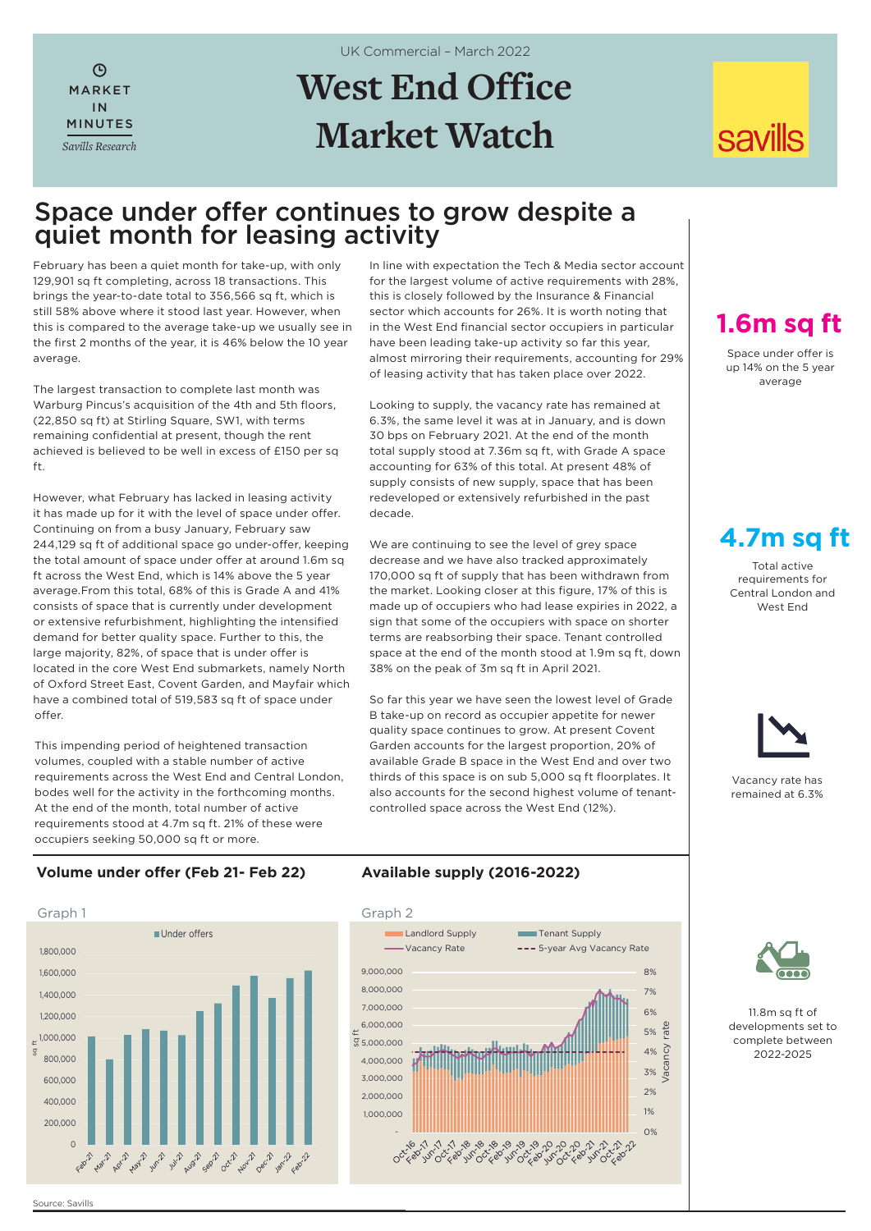$\mathcal{L}$ MARKET IN MINUTES *Savills Research* UK Commercial – March 2022

# **West End Office Market Watch**

# **savills**

### Space under offer continues to grow despite a quiet month for leasing activity

February has been a quiet month for take-up, with only 129,901 sq ft completing, across 18 transactions. This brings the year-to-date total to 356,566 sq ft, which is still 58% above where it stood last year. However, when this is compared to the average take-up we usually see in the first 2 months of the year, it is 46% below the 10 year average.

The largest transaction to complete last month was Warburg Pincus's acquisition of the 4th and 5th floors, (22,850 sq ft) at Stirling Square, SW1, with terms remaining confidential at present, though the rent achieved is believed to be well in excess of £150 per sq ft.

However, what February has lacked in leasing activity it has made up for it with the level of space under offer. Continuing on from a busy January, February saw 244,129 sq ft of additional space go under-offer, keeping the total amount of space under offer at around 1.6m sq ft across the West End, which is 14% above the 5 year average.From this total, 68% of this is Grade A and 41% consists of space that is currently under development or extensive refurbishment, highlighting the intensified demand for better quality space. Further to this, the large majority, 82%, of space that is under offer is located in the core West End submarkets, namely North of Oxford Street East, Covent Garden, and Mayfair which have a combined total of 519,583 sq ft of space under offer.

This impending period of heightened transaction volumes, coupled with a stable number of active requirements across the West End and Central London, bodes well for the activity in the forthcoming months. At the end of the month, total number of active requirements stood at 4.7m sq ft. 21% of these were occupiers seeking 50,000 sq ft or more.

In line with expectation the Tech & Media sector account for the largest volume of active requirements with 28%, this is closely followed by the Insurance & Financial sector which accounts for 26%. It is worth noting that in the West End financial sector occupiers in particular have been leading take-up activity so far this year, almost mirroring their requirements, accounting for 29% of leasing activity that has taken place over 2022.

Looking to supply, the vacancy rate has remained at 6.3%, the same level it was at in January, and is down 30 bps on February 2021. At the end of the month total supply stood at 7.36m sq ft, with Grade A space accounting for 63% of this total. At present 48% of supply consists of new supply, space that has been redeveloped or extensively refurbished in the past decade.

We are continuing to see the level of grey space decrease and we have also tracked approximately 170,000 sq ft of supply that has been withdrawn from the market. Looking closer at this figure, 17% of this is made up of occupiers who had lease expiries in 2022, a sign that some of the occupiers with space on shorter terms are reabsorbing their space. Tenant controlled space at the end of the month stood at 1.9m sq ft, down 38% on the peak of 3m sq ft in April 2021.

So far this year we have seen the lowest level of Grade B take-up on record as occupier appetite for newer quality space continues to grow. At present Covent Garden accounts for the largest proportion, 20% of available Grade B space in the West End and over two thirds of this space is on sub 5,000 sq ft floorplates. It also accounts for the second highest volume of tenantcontrolled space across the West End (12%).

## **1.6m sq ft**

Space under offer is up 14% on the 5 year average

### **4.7m sq ft**

Total active requirements for Central London and West End



Vacancy rate has remained at 6.3%

#### **Volume under offer (Feb 21- Feb 22)**



#### **Available supply (2016-2022)**





11.8m sq ft of developments set to complete between 2022-2025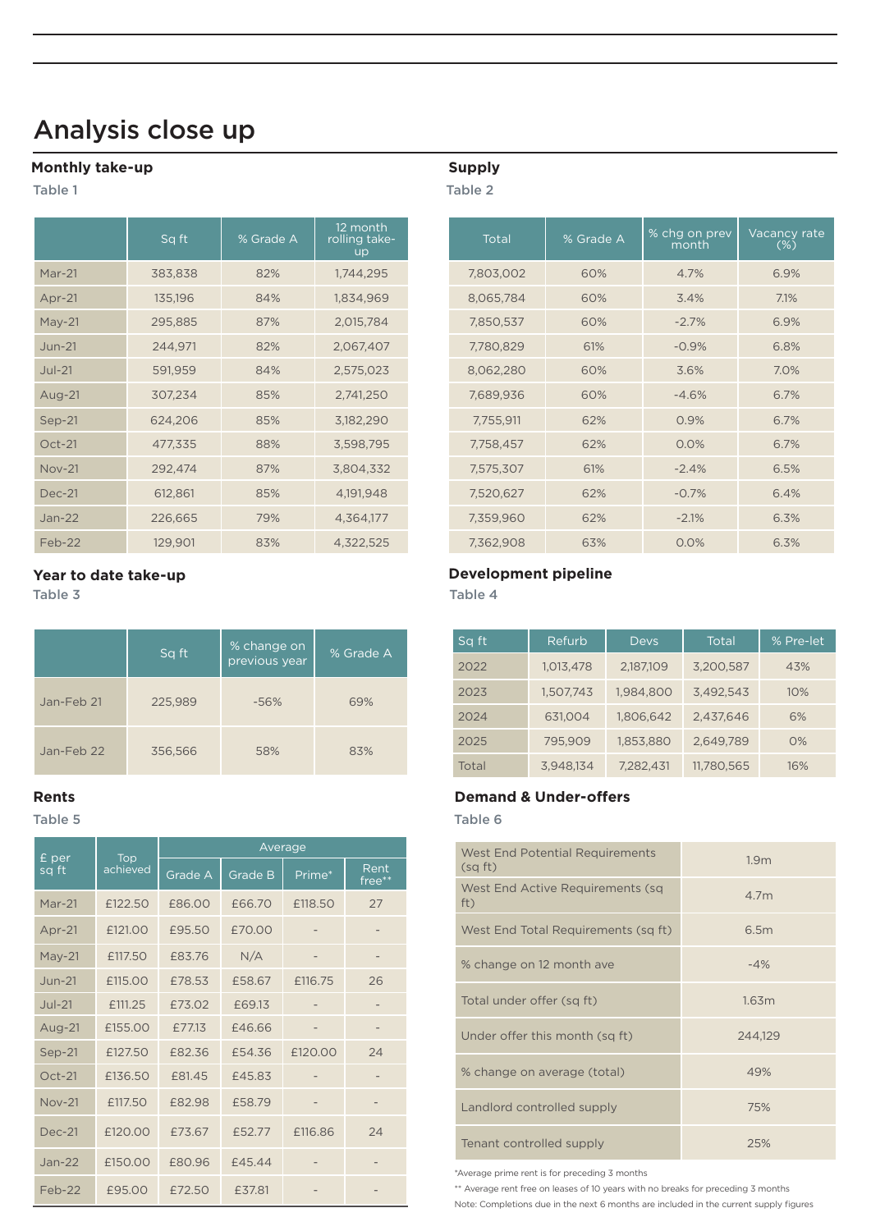## Analysis close up

#### **Monthly take-up**

Table 1

|               | Sq ft   | % Grade A | 12 month<br>rolling take-<br><b>up</b> | Total     | % Grade A | % chg on prev<br>month' | Vacancy<br>$(\%)$ |
|---------------|---------|-----------|----------------------------------------|-----------|-----------|-------------------------|-------------------|
| $Mar-21$      | 383,838 | 82%       | 1,744,295                              | 7,803,002 | 60%       | 4.7%                    | 6.9%              |
| Apr-21        | 135,196 | 84%       | 1,834,969                              | 8,065,784 | 60%       | 3.4%                    | 7.1%              |
| $May-21$      | 295,885 | 87%       | 2,015,784                              | 7,850,537 | 60%       | $-2.7%$                 | 6.9%              |
| $Jun-21$      | 244,971 | 82%       | 2,067,407                              | 7,780,829 | 61%       | $-0.9%$                 | 6.8%              |
| $Jul-21$      | 591,959 | 84%       | 2,575,023                              | 8,062,280 | 60%       | 3.6%                    | 7.0%              |
| Aug-21        | 307,234 | 85%       | 2,741,250                              | 7,689,936 | 60%       | $-4.6%$                 | 6.7%              |
| Sep-21        | 624,206 | 85%       | 3,182,290                              | 7,755,911 | 62%       | 0.9%                    | 6.7%              |
| $Oct-21$      | 477,335 | 88%       | 3,598,795                              | 7,758,457 | 62%       | 0.0%                    | 6.7%              |
| <b>Nov-21</b> | 292,474 | 87%       | 3,804,332                              | 7,575,307 | 61%       | $-2.4%$                 | 6.5%              |
| <b>Dec-21</b> | 612,861 | 85%       | 4,191,948                              | 7,520,627 | 62%       | $-0.7%$                 | 6.4%              |
| $Jan-22$      | 226,665 | 79%       | 4,364,177                              | 7,359,960 | 62%       | $-2.1%$                 | 6.3%              |
| $Feb-22$      | 129.901 | 83%       | 4.322.525                              | 7.362.908 | 63%       | 0.0%                    | 6.3%              |

|            | Sq ft   | % change on<br>previous year | % Grade A |  |
|------------|---------|------------------------------|-----------|--|
| Jan-Feb 21 | 225,989 | $-56%$                       | 69%       |  |
| Jan-Feb 22 | 356,566 | 58%                          | 83%       |  |

|                | <b>Top</b><br>achieved | Average |                |         |                |  |  |  |
|----------------|------------------------|---------|----------------|---------|----------------|--|--|--|
| £ per<br>sq ft |                        | Grade A | <b>Grade B</b> | Prime*  | Rent<br>free** |  |  |  |
| Mar-21         | £122.50                | £86.00  | £66.70         | £118.50 | 27             |  |  |  |
| Apr-21         | £121.00                | £95.50  | £70.00         |         |                |  |  |  |
| May-21         | £117.50                | £83.76  | N/A            |         |                |  |  |  |
| $Jun-21$       | £115.00                | £78.53  | £58.67         | £116.75 | 26             |  |  |  |
| $Jul-21$       | £111.25                | £73.02  | £69.13         |         |                |  |  |  |
| Aug-21         | £155.00                | £77.13  | £46.66         |         |                |  |  |  |
| Sep-21         | £127.50                | £82.36  | £54.36         | £120.00 | 24             |  |  |  |
| $Oct-21$       | £136.50                | £81.45  | £45.83         |         |                |  |  |  |
| <b>Nov-21</b>  | £117.50                | £82.98  | £58.79         |         |                |  |  |  |
| Dec-21         | £120.00                | £73.67  | £52.77         | £116.86 | 24             |  |  |  |
| $Jan-22$       | £150.00                | £80.96  | £45.44         |         |                |  |  |  |
| Feb-22         | £95.00                 | £72.50  | £37.81         |         |                |  |  |  |

### **Supply**

Table 2

|               | Sq ft   | % Grade A | 12 month<br>rolling take-<br><b>up</b> | Total     | % Grade A | % chg on prev<br>month | Vacancy rate<br>$(\%)$ |
|---------------|---------|-----------|----------------------------------------|-----------|-----------|------------------------|------------------------|
| Mar-21        | 383,838 | 82%       | 1,744,295                              | 7,803,002 | 60%       | 4.7%                   | 6.9%                   |
| Apr-21        | 135,196 | 84%       | 1,834,969                              | 8,065,784 | 60%       | 3.4%                   | 7.1%                   |
| $May-21$      | 295,885 | 87%       | 2,015,784                              | 7,850,537 | 60%       | $-2.7%$                | 6.9%                   |
| <b>Jun-21</b> | 244,971 | 82%       | 2,067,407                              | 7,780,829 | 61%       | $-0.9%$                | 6.8%                   |
| <b>Jul-21</b> | 591,959 | 84%       | 2,575,023                              | 8,062,280 | 60%       | 3.6%                   | 7.0%                   |
| Aug-21        | 307,234 | 85%       | 2,741,250                              | 7,689,936 | 60%       | $-4.6%$                | 6.7%                   |
| $Sep-21$      | 624,206 | 85%       | 3,182,290                              | 7,755,911 | 62%       | 0.9%                   | 6.7%                   |
| $Oct-21$      | 477,335 | 88%       | 3,598,795                              | 7,758,457 | 62%       | 0.0%                   | 6.7%                   |
| <b>Nov-21</b> | 292,474 | 87%       | 3,804,332                              | 7,575,307 | 61%       | $-2.4%$                | 6.5%                   |
| <b>Dec-21</b> | 612,861 | 85%       | 4,191,948                              | 7,520,627 | 62%       | $-0.7%$                | 6.4%                   |
| Jan-22        | 226,665 | 79%       | 4,364,177                              | 7,359,960 | 62%       | $-2.1%$                | 6.3%                   |
| Feb-22        | 129,901 | 83%       | 4,322,525                              | 7,362,908 | 63%       | 0.0%                   | 6.3%                   |

#### **Year to date take-up Development pipeline**

Table 3 Table 4

| Sq ft | Refurb    | Devs      | Total      | % Pre-let |
|-------|-----------|-----------|------------|-----------|
| 2022  | 1,013,478 | 2,187,109 | 3,200,587  | 43%       |
| 2023  | 1,507,743 | 1,984,800 | 3,492,543  | 10%       |
| 2024  | 631,004   | 1,806,642 | 2,437,646  | 6%        |
| 2025  | 795.909   | 1,853,880 | 2,649,789  | O%        |
| Total | 3,948,134 | 7,282,431 | 11,780,565 | 16%       |

#### **Rents Demand & Under-offers**

Table 5 Table 6

٠

| West End Potential Requirements<br>(sqft) | 1.9 <sub>m</sub> |
|-------------------------------------------|------------------|
| West End Active Requirements (sq<br>ft)   | 4.7 <sub>m</sub> |
| West End Total Requirements (sq ft)       | 6.5m             |
| % change on 12 month ave                  | $-4%$            |
| Total under offer (sq ft)                 | 1.63m            |
| Under offer this month (sq ft)            | 244.129          |
| % change on average (total)               | 49%              |
| Landlord controlled supply                | 75%              |
| Tenant controlled supply                  | 25%              |

\*Average prime rent is for preceding 3 months

\*\* Average rent free on leases of 10 years with no breaks for preceding 3 months

Note: Completions due in the next 6 months are included in the current supply figures